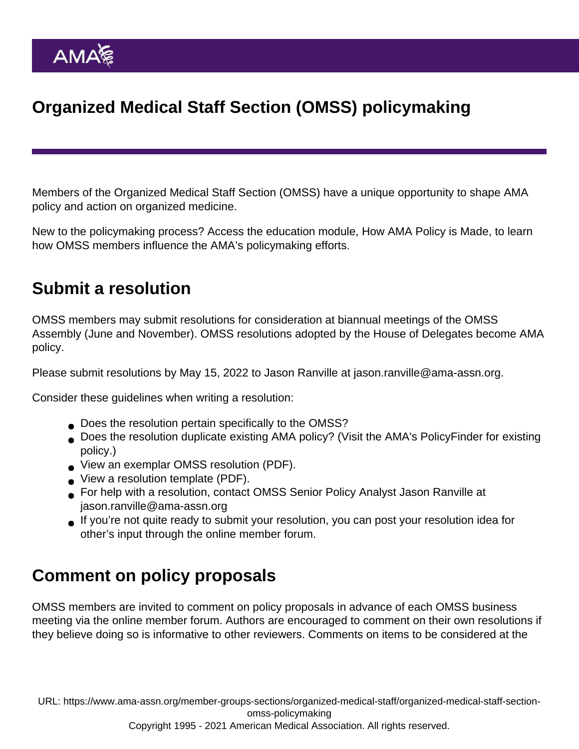## Organized Medical Staff Section (OMSS) policymaking

Members of the Organized Medical Staff Section (OMSS) have a unique opportunity to shape AMA policy and action on organized medicine.

New to the policymaking process? Access the education module, [How AMA Policy is Made,](https://edhub.ama-assn.org/interactive/18059906) to learn how OMSS members influence the AMA's policymaking efforts.

## Submit a resolution

OMSS members may submit resolutions for consideration at biannual meetings of the OMSS Assembly (June and November). OMSS resolutions adopted by the House of Delegates become AMA policy.

Please submit resolutions by May 15, 2022 to Jason Ranville at [jason.ranville@ama-assn.org.](mailto:jason.ranville@ama-assn.org)

Consider these guidelines when writing a resolution:

- Does the resolution pertain specifically to the OMSS?
- Does the resolution duplicate existing AMA policy? (Visit the AMA's [PolicyFinder](https://policysearch.ama-assn.org/policyfinder) for existing policy.)
- [View an exemplar OMSS resolution](https://www.ama-assn.org/system/files/omss-exemplar-res-3-availability-of-ppe.pdf) (PDF).
- [View a resolution template](https://www.ama-assn.org/system/files/omss-resolution-template.pdf) (PDF).
- For help with a resolution, contact OMSS Senior Policy Analyst Jason Ranville at [jason.ranville@ama-assn.org](mailto:jason.ranville@ama-assn.org)
- If you're not quite ready to submit your resolution, you can post your resolution idea for other's input through the [online member forum](https://www.ama-assn.org/forums/sections/organized-medical-staff-section).

## Comment on policy proposals

OMSS members are invited to comment on policy proposals in advance of each OMSS business meeting via the [online member forum](https://www.ama-assn.org/forums/sections/organized-medical-staff-section). Authors are encouraged to comment on their own resolutions if they believe doing so is informative to other reviewers. Comments on items to be considered at the

URL: [https://www.ama-assn.org/member-groups-sections/organized-medical-staff/organized-medical-staff-section](https://www.ama-assn.org/member-groups-sections/organized-medical-staff/organized-medical-staff-section-omss-policymaking)[omss-policymaking](https://www.ama-assn.org/member-groups-sections/organized-medical-staff/organized-medical-staff-section-omss-policymaking)